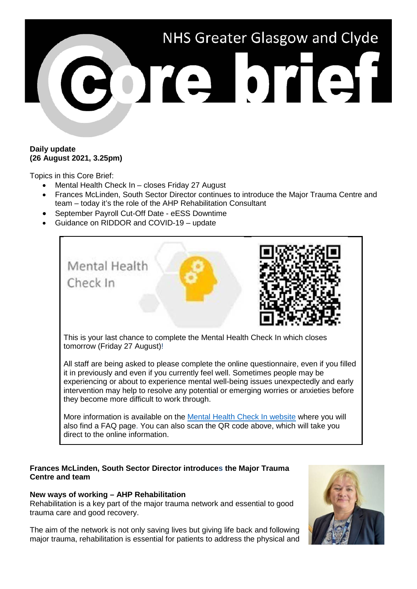

# **Daily update (26 August 2021, 3.25pm)**

Topics in this Core Brief:

- Mental Health Check In closes Friday 27 August
- Frances McLinden, South Sector Director continues to introduce the Major Trauma Centre and team – today it's the role of the AHP Rehabilitation Consultant
- September Payroll Cut-Off Date eESS Downtime
- Guidance on RIDDOR and COVID-19 update



More information is available on the [Mental Health Check In website](https://www.nhsggc.org.uk/about-us/professional-support-sites/mental-health-check-in/) where you will also find a FAQ page. You can also scan the QR code above, which will take you direct to the online information.

# **Frances McLinden, South Sector Director introduces the Major Trauma Centre and team**

### **New ways of working – AHP Rehabilitation**

Rehabilitation is a key part of the major trauma network and essential to good trauma care and good recovery.

The aim of the network is not only saving lives but giving life back and following major trauma, rehabilitation is essential for patients to address the physical and

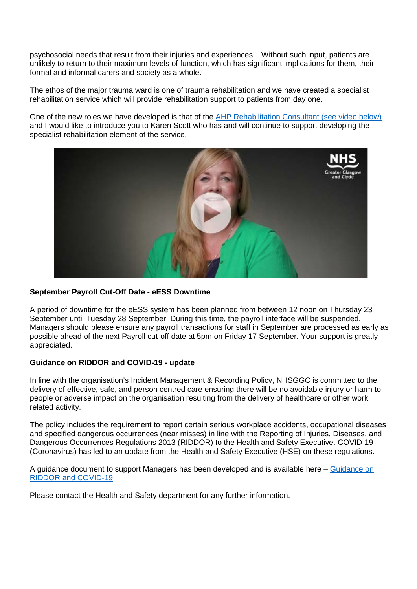psychosocial needs that result from their injuries and experiences. Without such input, patients are unlikely to return to their maximum levels of function, which has significant implications for them, their formal and informal carers and society as a whole.

The ethos of the major trauma ward is one of trauma rehabilitation and we have created a specialist rehabilitation service which will provide rehabilitation support to patients from day one.

One of the new roles we have developed is that of the [AHP Rehabilitation Consultant \(see video below\)](https://youtu.be/ns-zIy7L5BM) and I would like to introduce you to Karen Scott who has and will continue to support developing the specialist rehabilitation element of the service.



# **September Payroll Cut-Off Date - eESS Downtime**

A period of downtime for the eESS system has been planned from between 12 noon on Thursday 23 September until Tuesday 28 September. During this time, the payroll interface will be suspended. Managers should please ensure any payroll transactions for staff in September are processed as early as possible ahead of the next Payroll cut-off date at 5pm on Friday 17 September. Your support is greatly appreciated.

### **Guidance on RIDDOR and COVID-19 - update**

In line with the organisation's Incident Management & Recording Policy, NHSGGC is committed to the delivery of effective, safe, and person centred care ensuring there will be no avoidable injury or harm to people or adverse impact on the organisation resulting from the delivery of healthcare or other work related activity.

The policy includes the requirement to report certain serious workplace accidents, occupational diseases and specified dangerous occurrences (near misses) in line with the Reporting of Injuries, Diseases, and Dangerous Occurrences Regulations 2013 (RIDDOR) to the Health and Safety Executive. COVID-19 (Coronavirus) has led to an update from the Health and Safety Executive (HSE) on these regulations.

A guidance document to support Managers has been developed and is available here – [Guidance on](https://www.nhsggc.org.uk/working-with-us/hr-connect/health-safety/policies-guidance-documents-forms/incident-accident-management/covid-riddor-reporting/)  [RIDDOR and COVID-19.](https://www.nhsggc.org.uk/working-with-us/hr-connect/health-safety/policies-guidance-documents-forms/incident-accident-management/covid-riddor-reporting/)

Please contact the Health and Safety department for any further information.